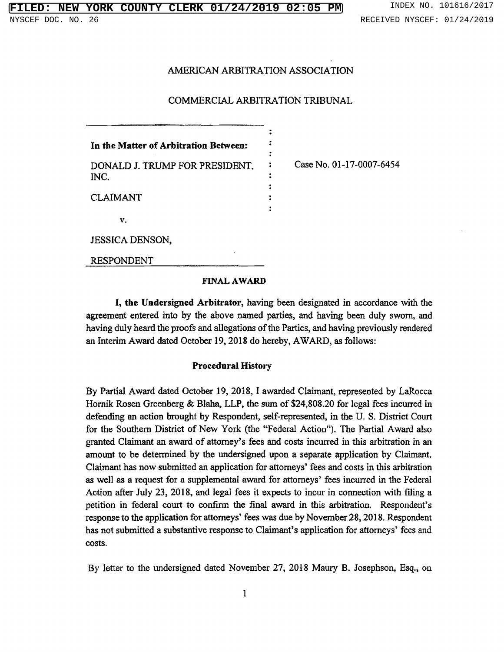### **FIRE COUNTY CLERK 01/24/2019 02:05 PM** INDEX NO. 101616/2017 NYSCEF DOC. NO. 26 RECEIVED NYSCEF: 01/24/2019

# AMERICAN ARBITRATION ASSOCIATION

### COMMERCIAL ARBITRATION TRIBUNAL

:

 $\ddot{\cdot}$  $\ddot{\cdot}$ 

:

 $\ddot{\phantom{a}}$ 

 $\ddot{\phantom{a}}$ 

| In the Matter of Arbitration Between:  |  |
|----------------------------------------|--|
| DONALD J. TRUMP FOR PRESIDENT.<br>INC. |  |
| <b>CLAIMANT</b>                        |  |
| v.                                     |  |
| IESSICA DENSON                         |  |

: Case No. 01-17-0007-6454

JESSICA DENSON,

RESPONDENT

### FINAL AWARD

I, the Undersigned Arbitrator, having been designated in accordance with the agreement entered into by the above named parties, and having been duly sworn, and having duly heard the proofs and allegations of the Parties, and having previously rendered an Interim Award dated October 19, 2018 do hereby, AWARD, as follows:

### Procedural History

By Partial Award dated October 19, 2018, I awarded Claimant, represented by LaRocca Hornik Rosen Greenberg & Blaha, LLP, the sum of \$24,808.20 for legal fees incurred in defending an action brought by Respondent, self-represented, in the U. S. District Court for the Southern District of New York (the "Federal Action"). The Partial Award also granted Claimant an award of attorney's fees and costs incurred in this arbitration in an amount to be determined by the undersigned upon a separate application by Claimant. Claimant has now submitted an application for attorneys' fees and costs in this arbitration as well as a request for a supplemental award for attorneys' fees incurred in the Feder Action after July 23, 2018, and legal fees it expects to incur in connection with filing a petition in federal court to confirm the final award in this arbitration. Respondent's response to the application for attorneys' fees was due by November 28, 2018. Respond has not submitted a substantive response to Claimant's application for attorneys' fees an costs.

By letter to the undersigned dated November 27, 2018 Maury B. Josephsoñ, Esq., on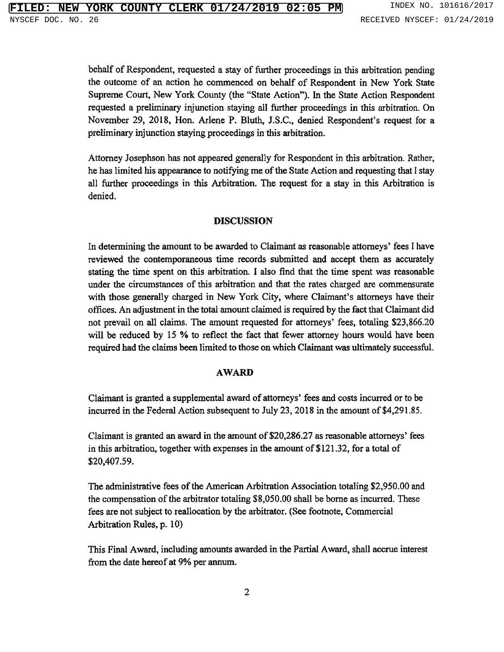behalf of Respondent, requested <sup>a</sup> stay of further proceedings in this arbitration pending the outcome of an action he commenced on behalf of Respondent in New York State Supreme Court, New York County (the "State Action"). In the State Action Respondent requested a preliminary injunction staying all further proceedings in this arbitration. On November 29, 2018, Hon. Arlene P. Bluth, J.S.C., denied Respondent's request for a preliminary injunction staying proceedings in this arbitration.

Attorney Josephson has not appeared generally for Respondent in this arbitration. Rather, he has limited his appearance to notifying me of the State Action and requesting that <sup>I</sup> stay all further proceedings in this Arbitration. The request for a stay in this Arbitration is denied.

## DISCUSSION

In determining the amount to be awarded to Claimant as reasonable attorneys' fees I have reviewed the contemporaneous time records submitted and accept them as accurately stating the time spent on this arbitration. I also find that the time spent was reasonable under the circumstances of this arbitration and that the rates charged are commensurate with those generally charged in New York City, where Claimant's attorneys have their offices. An adjustment in the total amount claimed is required by the fact that Claimant did not prevail on all claims. The amount requested for attorneys' fees, totaling \$23,866 will be reduced by 15 % to reflect the fact that fewer attorney hours would have been required had the claims been limited to those on which Claimant was ultimately successful.

#### AWARD

Claimant is granted a supplemental award of attorneys' fees and costs incurred or to be incurred in the Federal Action subsequent to July 23, 2018 in the amount of \$4,291,85.

Claimant is granted an award in the amount of \$20,286.27 as reasonable attorneys' fee in this arbitration, together with expenses in the amount of \$121.32, for a total of \$20,407.59.

The administrative fees of the American Arbitration Association totaling \$2,950.00 and the compensation of the arbitrator totaling \$8,050.00 shall be borne as incurred. These fees are not subject to reallocation by the arbitrator. (See footnote, Commercial Arbitration Rules, p. 10)

This Final Award, including amounts awarded in the Partial Award, shall accrue interest from the date hereof at 9% per annum.